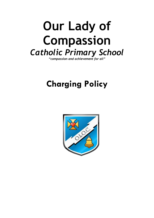# **Our Lady of Compassion** *Catholic Primary School*

*"compassion and achievement for all"*

# **Charging Policy**

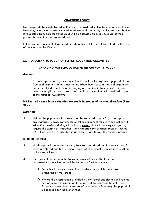# **CHARGING POLICY**

No charge will be made for education which is provided within the normal school time. However, where classes are involved in educational day visits, a voluntary contribution is requested from parents but no child will be excluded from any such visit if their parents have not made any contribution.

In the case of a residential visit made in school time, children will be asked for the cost of their stay at the Centre.

# **METROPOLITAN BOROUGH OF SEFTON EDUCATION COMMITTEE**

# **CHARGING FOR SCHOOL ACTIVITIES: AUTHORITY POLICY**

## **General**

1. Education provided by any maintained school for its registered pupils shall be free of charge if it takes place during school hours except that a charge may be made of individual tuition in playing any musical instrument unless it forms part of the syllabus for a prescribed public examination or is provided as part of the National Curriculum.

# **NB The 1993 Act allowed charging for pupils in groups of no more than four (Para 280).**

#### **Materials**

2. Neither the pupil nor this parents shall be required to pay for, or to supply, any materials, books, instruments, or other equipment for use in connection with education provision during school hours, except that schools may charge for, or require the supply of, ingredients and materials for practical subjects such as D&T, if parents have indicated in advance a wish to own the finished product.

#### **Examination Fees**

- 3. No charges will be made for entry fees for prescribed public examinations for which registered pupils are being prepared at a school. This includes resitting such an examination.
- 4. Charges will be made in the following circumstances. The list is not necessarily exhaustive and will be subject to further review:
	- Entry fee for any examination for which the pupil has not been prepared by the school.
	- Where the preparation provided by the school enables a pupil to enter two or more examinations, the pupil shall be charged the entry fee(s) for any examinations, in excess of one. Where fees vary the pupil shall be charged for the higher fees.